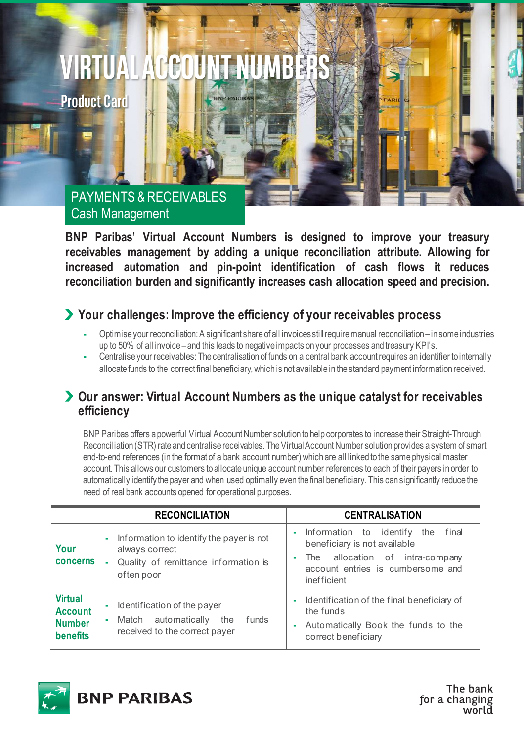# **VIRTUAL ACCOUNT NUMBERS**

**BNP PARIB** 

**Product Card**

## PAYMENTS & RECEIVABLES Cash Management

**BNP Paribas' Virtual Account Numbers is designed to improve your treasury receivables management by adding a unique reconciliation attribute. Allowing for increased automation and pin-point identification of cash flows it reduces reconciliation burden and significantly increases cash allocation speed and precision.** 

### **Your challenges: Improve the efficiency of your receivables process**

- Optimise your reconciliation: A significant share of all invoices still require manual reconciliation in some industries up to 50% of all invoice – and this leads to negativeimpacts on your processes and treasury KPI's.
- Centralise your receivables: The centralisation of funds on a central bank account requires an identifier to internally allocate funds to the correct final beneficiary, which is not available in the standard payment information received.

#### **Our answer: Virtual Account Numbers as the unique catalyst for receivables efficiency**

BNP Paribas offers a powerful Virtual Account Number solution to help corporates to increase their Straight-Through Reconciliation (STR) rate and centralise receivables. The Virtual Account Number solution provides a system of smart end-to-end references (in the format of a bank account number) which are all linked to the same physical master account. This allows our customers to allocate unique account number references to each of their payers in order to automatically identify the payer and when used optimally eventhe final beneficiary. This can significantly reduce the need of real bank accounts opened for operational purposes.

|                                                                      | <b>RECONCILIATION</b>                                                                                                 | <b>CENTRALISATION</b>                                                                                                                                                     |
|----------------------------------------------------------------------|-----------------------------------------------------------------------------------------------------------------------|---------------------------------------------------------------------------------------------------------------------------------------------------------------------------|
| Your<br><b>concerns</b>                                              | Information to identify the payer is not<br>٠<br>always correct<br>Quality of remittance information is<br>often poor | final<br>Information to identify<br>the<br>×<br>beneficiary is not available<br>The allocation of intra-company<br>m.<br>account entries is cumbersome and<br>inefficient |
| <b>Virtual</b><br><b>Account</b><br><b>Number</b><br><b>benefits</b> | Identification of the payer<br>automatically<br>the<br>funds<br>Match<br>٠<br>received to the correct payer           | Identification of the final beneficiary of<br>×<br>the funds<br>Automatically Book the funds to the<br>Î.<br>correct beneficiary                                          |



The bank for a changing hlaow